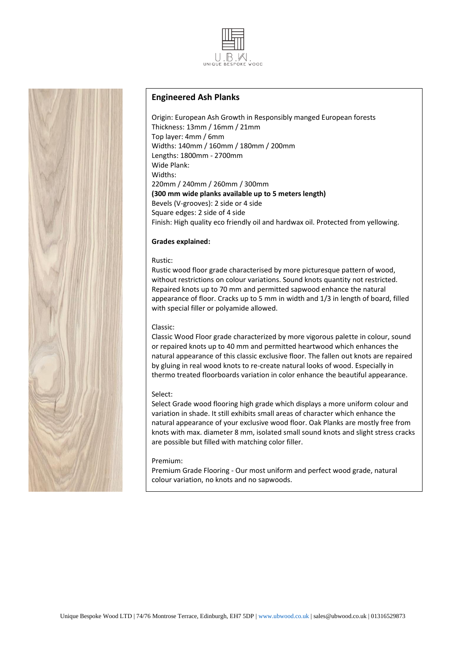



# **Engineered Ash Planks**

Origin: European Ash Growth in Responsibly manged European forests Thickness: 13mm / 16mm / 21mm Top layer: 4mm / 6mm Widths: 140mm / 160mm / 180mm / 200mm Lengths: 1800mm - 2700mm Wide Plank: Widths: 220mm / 240mm / 260mm / 300mm **(300 mm wide planks available up to 5 meters length)** Bevels (V-grooves): 2 side or 4 side Square edges: 2 side of 4 side Finish: High quality eco friendly oil and hardwax oil. Protected from yellowing.

# **Grades explained:**

### Rustic:

Rustic wood floor grade characterised by more picturesque pattern of wood, without restrictions on colour variations. Sound knots quantity not restricted. Repaired knots up to 70 mm and permitted sapwood enhance the natural appearance of floor. Cracks up to 5 mm in width and 1/3 in length of board, filled with special filler or polyamide allowed.

## Classic:

Classic Wood Floor grade characterized by more vigorous palette in colour, sound or repaired knots up to 40 mm and permitted heartwood which enhances the natural appearance of this classic exclusive floor. The fallen out knots are repaired by gluing in real wood knots to re-create natural looks of wood. Especially in thermo treated floorboards variation in color enhance the beautiful appearance.

### Select:

Select Grade wood flooring high grade which displays a more uniform colour and variation in shade. It still exhibits small areas of character which enhance the natural appearance of your exclusive wood floor. Oak Planks are mostly free from knots with max. diameter 8 mm, isolated small sound knots and slight stress cracks are possible but filled with matching color filler.

### Premium:

Premium Grade Flooring - Our most uniform and perfect wood grade, natural colour variation, no knots and no sapwoods.